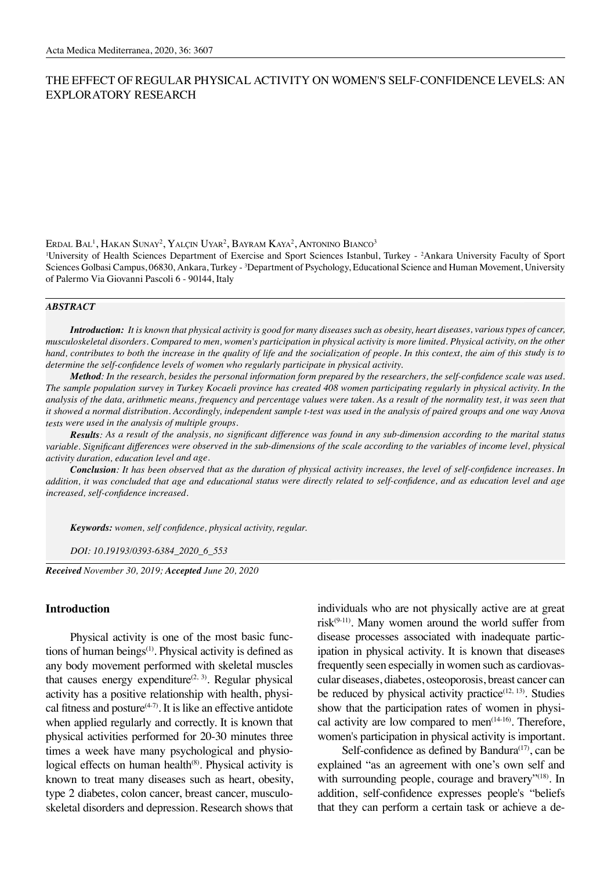# THE EFFECT OF REGULAR PHYSICAL ACTIVITY ON WOMEN'S SELF-CONFIDENCE LEVELS: AN EXPLORATORY RESEARCH

Erdal Bal<sup>1</sup>, Hakan Sunay<sup>2</sup>, Yalçın Uyar<sup>2</sup>, Bayram Kaya<sup>2</sup>, Antonino Bianco<sup>3</sup>

<sup>1</sup>University of Health Sciences Department of Exercise and Sport Sciences Istanbul, Turkey - <sup>2</sup>Ankara University Faculty of Sport Sciences Golbasi Campus, 06830, Ankara, Turkey - <sup>3</sup>Department of Psychology, Educational Science and Human Movement, University of Palermo Via Giovanni Pascoli 6 - 90144, Italy

### *ABSTRACT*

*Introduction: It is known that physical activity is good for many diseases such as obesity, heart diseases, various types of cancer, musculoskeletal disorders. Compared to men, women's participation in physical activity is more limited. Physical activity, on the other hand, contributes to both the increase in the quality of life and the socialization of people. In this context, the aim of this study is to determine the self-confidence levels of women who regularly participate in physical activity.*

*Method: In the research, besides the personal information form prepared by the researchers, the self-confidence scale was used. The sample population survey in Turkey Kocaeli province has created 408 women participating regularly in physical activity. In the analysis of the data, arithmetic means, frequency and percentage values were taken. As a result of the normality test, it was seen that it showed a normal distribution. Accordingly, independent sample t-test was used in the analysis of paired groups and one way Anova tests were used in the analysis of multiple groups.*

*Results: As a result of the analysis, no significant difference was found in any sub-dimension according to the marital status variable. Significant differences were observed in the sub-dimensions of the scale according to the variables of income level, physical activity duration, education level and age.*

*Conclusion: It has been observed that as the duration of physical activity increases, the level of self-confidence increases. In addition, it was concluded that age and educational status were directly related to self-confidence, and as education level and age increased, self-confidence increased.*

*Keywords: women, self confidence, physical activity, regular.* 

*DOI: 10.19193/0393-6384\_2020\_6\_553*

*Received November 30, 2019; Accepted June 20, 2020*

## **Introduction**

Physical activity is one of the most basic functions of human beings $(1)$ . Physical activity is defined as any body movement performed with skeletal muscles that causes energy expenditure<sup> $(2, 3)$ </sup>. Regular physical activity has a positive relationship with health, physical fitness and posture $(4-7)$ . It is like an effective antidote when applied regularly and correctly. It is known that physical activities performed for 20-30 minutes three times a week have many psychological and physiological effects on human health<sup>(8)</sup>. Physical activity is known to treat many diseases such as heart, obesity, type 2 diabetes, colon cancer, breast cancer, musculoskeletal disorders and depression. Research shows that

individuals who are not physically active are at great risk $(9-11)$ . Many women around the world suffer from disease processes associated with inadequate participation in physical activity. It is known that diseases frequently seen especially in women such as cardiovascular diseases, diabetes, osteoporosis, breast cancer can be reduced by physical activity practice $(12, 13)$ . Studies show that the participation rates of women in physical activity are low compared to men $(14-16)$ . Therefore, women's participation in physical activity is important.

Self-confidence as defined by Bandura $(17)$ , can be explained "as an agreement with one's own self and with surrounding people, courage and bravery"<sup>(18)</sup>. In addition, self-confidence expresses people's "beliefs that they can perform a certain task or achieve a de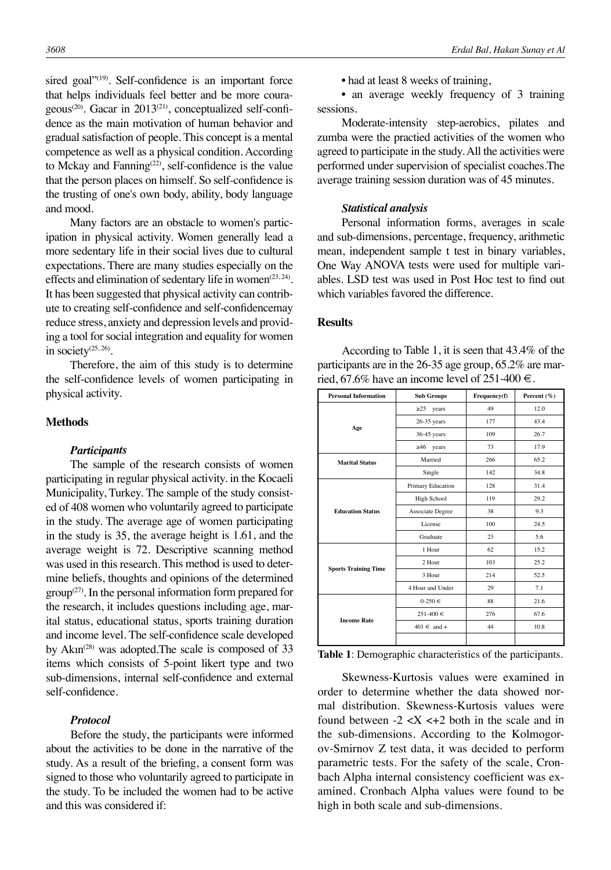sired goal"<sup>(19)</sup>. Self-confidence is an important force that helps individuals feel better and be more courageous<sup>(20)</sup>. Gacar in 2013<sup>(21)</sup>, conceptualized self-confidence as the main motivation of human behavior and gradual satisfaction of people. This concept is a mental competence as well as a physical condition. According to Mckay and Fanning<sup> $(22)$ </sup>, self-confidence is the value that the person places on himself. So self-confidence is the trusting of one's own body, ability, body language and mood.

Many factors are an obstacle to women's participation in physical activity. Women generally lead a more sedentary life in their social lives due to cultural expectations. There are many studies especially on the effects and elimination of sedentary life in women<sup> $(23, 24)$ </sup>. It has been suggested that physical activity can contribute to creating self-confidence and self-confidencemay reduce stress, anxiety and depression levels and providing a tool for social integration and equality for women in society $(25, 26)$ .

Therefore, the aim of this study is to determine the self-confidence levels of women participating in physical activity.

## **Methods**

#### *Participants*

The sample of the research consists of women participating in regular physical activity. in the Kocaeli Municipality, Turkey. The sample of the study consisted of 408 women who voluntarily agreed to participate in the study. The average age of women participating in the study is 35, the average height is 1.61, and the average weight is 72. Descriptive scanning method was used in this research. This method is used to determine beliefs, thoughts and opinions of the determined  $\text{group}^{(27)}$ . In the personal information form prepared for the research, it includes questions including age, marital status, educational status, sports training duration and income level. The self-confidence scale developed by  $Akm^{(28)}$  was adopted. The scale is composed of 33 items which consists of 5-point likert type and two sub-dimensions, internal self-confidence and external self-confidence.

## *Protocol*

Before the study, the participants were informed about the activities to be done in the narrative of the study. As a result of the briefing, a consent form was signed to those who voluntarily agreed to participate in the study. To be included the women had to be active and this was considered if:

• had at least 8 weeks of training,

• an average weekly frequency of 3 training sessions.

Moderate-intensity step-aerobics, pilates and zumba were the practied activities of the women who agreed to participate in the study. All the activities were performed under supervision of specialist coaches.The average training session duration was of 45 minutes.

#### *Statistical analysis*

Personal information forms, averages in scale and sub-dimensions, percentage, frequency, arithmetic mean, independent sample t test in binary variables, One Way ANOVA tests were used for multiple variables. LSD test was used in Post Hoc test to find out which variables favored the difference.

#### **Results**

According to Table 1, it is seen that 43.4% of the participants are in the 26-35 age group, 65.2% are married, 67.6% have an income level of 251-400  $\in$ .

| <b>Personal Information</b> | <b>Sub Groups</b> | Frequency(f) | Percent $(\% )$ |  |
|-----------------------------|-------------------|--------------|-----------------|--|
|                             | $\geq$ 25 years   | 49           | 12.0            |  |
| Age                         | $26-35$ years     | 177          | 43.4            |  |
|                             | 36-45 years       | 109          | 26.7            |  |
|                             | $\geq 46$ years   | 73           | 17.9            |  |
| <b>Marital Status</b>       | Married           | 266          | 65.2            |  |
|                             | Single            | 142          | 34.8            |  |
|                             | Primary Education | 128          | 31.4            |  |
| <b>Education Status</b>     | High School       | 119          | 29.2            |  |
|                             | Associate Degree  | 38           | 9.3             |  |
|                             | License           | 100          | 24.5            |  |
|                             | Graduate          | 23           | 5.6             |  |
|                             | 1 Hour            | 62           | 15.2            |  |
|                             | 2 Hour            | 103          | 25.2            |  |
| <b>Sports Training Time</b> | 3 Hour            | 214          | 52.5            |  |
|                             | 4 Hour and Under  | 29           | 7.1             |  |
|                             | $0-250 \in$       | 88           | 21.6            |  |
| <b>Income Rate</b>          | $251-400 \in$     | 276          | 67.6            |  |
|                             | $401 \in$ and +   | 44           | 10.8            |  |
|                             |                   |              |                 |  |

**Table 1**: Demographic characteristics of the participants.

Skewness-Kurtosis values were examined in order to determine whether the data showed normal distribution. Skewness-Kurtosis values were found between  $-2 < X < +2$  both in the scale and in the sub-dimensions. According to the Kolmogorov-Smirnov Z test data, it was decided to perform parametric tests. For the safety of the scale, Cronbach Alpha internal consistency coefficient was examined. Cronbach Alpha values were found to be high in both scale and sub-dimensions.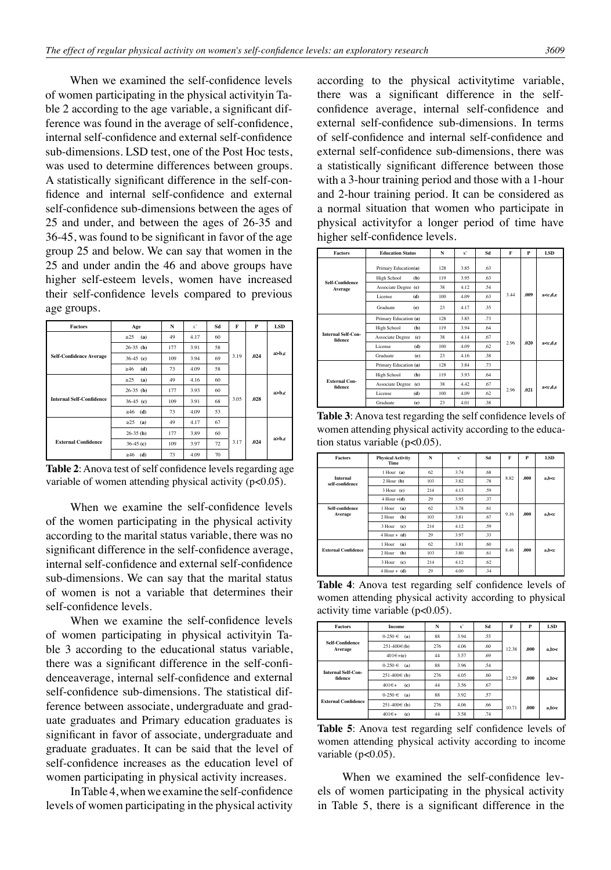When we examined the self-confidence levels of women participating in the physical activityin Table 2 according to the age variable, a significant difference was found in the average of self-confidence, internal self-confidence and external self-confidence sub-dimensions. LSD test, one of the Post Hoc tests, was used to determine differences between groups. A statistically significant difference in the self-confidence and internal self-confidence and external self-confidence sub-dimensions between the ages of 25 and under, and between the ages of 26-35 and 36-45, was found to be significant in favor of the age group 25 and below. We can say that women in the 25 and under andin the 46 and above groups have higher self-esteem levels, women have increased their self-confidence levels compared to previous age groups.

| <b>Factors</b>                  | Age              | N   | $x^{-}$ | Sd | F    | P    | <b>LSD</b> |
|---------------------------------|------------------|-----|---------|----|------|------|------------|
| <b>Self-Confidence Average</b>  | >25<br>(a)       | 49  | 4.17    | 60 |      |      |            |
|                                 | $26-35$ (b)      | 177 | 3.91    | 58 |      |      |            |
|                                 | $36-45$ (c)      | 109 | 3.94    | 69 | 3.19 | .024 | a>b,c      |
|                                 | $\geq 46$<br>(d) | 73  | 4.09    | 58 |      |      |            |
| <b>Internal Self-Confidence</b> | >25<br>(a)       | 49  | 4.16    | 60 |      |      |            |
|                                 | $26-35$ (b)      | 177 | 3.93    | 60 |      |      | a>b,c      |
|                                 | $36-45$ (c)      | 109 | 3.91    | 68 | 3.05 | .028 |            |
|                                 | $\geq 46$ (d)    | 73  | 4.09    | 53 |      |      |            |
|                                 | $\geq$ 25 (a)    | 49  | 4.17    | 67 |      |      |            |
| <b>External Confidence</b>      | $26-35$ (b)      | 177 | 3.89    | 60 |      |      |            |
|                                 | $36-45(c)$       | 109 | 3.97    | 72 | 3.17 | .024 | a>b,c      |
|                                 | $\geq 46$ (d)    | 73  | 4.09    | 70 |      |      |            |

**Table 2**: Anova test of self confidence levels regarding age variable of women attending physical activity (p<0.05).

When we examine the self-confidence levels of the women participating in the physical activity according to the marital status variable, there was no significant difference in the self-confidence average, internal self-confidence and external self-confidence sub-dimensions. We can say that the marital status of women is not a variable that determines their self-confidence levels.

When we examine the self-confidence levels of women participating in physical activityin Table 3 according to the educational status variable, there was a significant difference in the self-confidenceaverage, internal self-confidence and external self-confidence sub-dimensions. The statistical difference between associate, undergraduate and graduate graduates and Primary education graduates is significant in favor of associate, undergraduate and graduate graduates. It can be said that the level of self-confidence increases as the education level of women participating in physical activity increases.

In Table 4, when we examine the self-confidence levels of women participating in the physical activity according to the physical activitytime variable, there was a significant difference in the selfconfidence average, internal self-confidence and external self-confidence sub-dimensions. In terms of self-confidence and internal self-confidence and external self-confidence sub-dimensions, there was a statistically significant difference between those with a 3-hour training period and those with a 1-hour and 2-hour training period. It can be considered as a normal situation that women who participate in physical activityfor a longer period of time have higher self-confidence levels.

| <b>Factors</b>                       | <b>Education Status</b> | N   | $\mathbf{x}^{\dagger}$ | Sd   | F    | P    | <b>LSD</b>                |
|--------------------------------------|-------------------------|-----|------------------------|------|------|------|---------------------------|
|                                      | Primary Education(a)    | 128 | 3.85                   | .63  |      |      |                           |
|                                      | High School<br>(b)      | 119 | 3.95                   | .63  |      |      |                           |
| <b>Self-Confidence</b><br>Average    | Associate Degree (c)    | 38  | 4.12                   | .54  |      |      |                           |
|                                      | License<br>(d)          | 100 | 4.09                   | .63  | 3.44 | .009 | a <c.d.e< td=""></c.d.e<> |
|                                      | Graduate<br>(e)         | 23  | 4.17                   | 35   |      |      |                           |
| <b>Internal Self-Con-</b><br>fidence | Primary Education (a)   | 128 | 3.85                   | .73  |      |      |                           |
|                                      | High School<br>(b)      | 119 | 3.94                   | .64  |      |      |                           |
|                                      | Associate Degree<br>(c) | 38  | 4.14                   | .67  |      |      |                           |
|                                      | License<br>(d)          | 100 | 4.09                   | .62. | 2.96 | .020 | a <c.d.e< td=""></c.d.e<> |
|                                      | Graduate<br>(e)         | 23  | 4.16                   | .38  |      |      |                           |
| <b>External Con-</b><br>fidence      | Primary Education (a)   | 128 | 3.84                   | .73  |      |      |                           |
|                                      | High School<br>(b)      | 119 | 3.93                   | .64  |      |      |                           |
|                                      | Associate Degree (c)    | 38  | 4.42                   | .67  |      |      | a <c,d,e< td=""></c,d,e<> |
|                                      | License<br>(d)          | 100 | 4.09                   | .62  | 2.96 | .021 |                           |
|                                      | Graduate<br>(e)         | 23  | 4.01                   | .38  |      |      |                           |

**Table 3**: Anova test regarding the self confidence levels of women attending physical activity according to the education status variable  $(p<0.05)$ .

| <b>Factors</b>                     | <b>Physical Activity</b><br>Time | N   | $\mathbf{x}^-$ | Sd  | F    | P    | <b>LSD</b> |
|------------------------------------|----------------------------------|-----|----------------|-----|------|------|------------|
|                                    | 1 Hour (a)                       | 62  | 3.74           | .68 | 8.82 |      |            |
| <b>Internal</b><br>self-confidence | $2$ Hour $(b)$                   | 103 | 3.82           | .78 |      | .000 | a,b < c    |
|                                    | $3$ Hour (c)                     | 214 | 4.13           | 59  |      |      |            |
|                                    | $4$ Hour $+(d)$                  | 29  | 3.95           | 37  |      |      |            |
| Self-confidence                    | 1 Hour<br>(a)                    | 62  | 3.78           | .61 | 9.16 |      |            |
| Average                            | 2 Hour<br>(b)                    | 103 | 3.81           | .67 |      | .000 | a,b < c    |
|                                    | 3 Hour<br>(c)                    | 214 | 4.12           | 59  |      |      |            |
|                                    | $4$ Hour + (d)                   | 29  | 3.97           | 33  |      |      |            |
| <b>External Confidence</b>         | 1 Hour<br>(a)                    | 62  | 3.81           | .60 | 8.46 |      |            |
|                                    | (b)<br>2 Hour                    | 103 | 3.80           | .61 |      | .000 | a,b < c    |
|                                    | 3 Hour<br>(c)                    | 214 | 4.12           | .62 |      |      |            |
|                                    | $4$ Hour + (d)                   | 29  | 4.00           | 34  |      |      |            |

**Table 4**: Anova test regarding self confidence levels of women attending physical activity according to physical activity time variable (p<0.05).

| <b>Factors</b>                       | <b>Income</b>             | N   | $\mathbf{x}^-$ | Sd  | F     | P    | <b>LSD</b> |
|--------------------------------------|---------------------------|-----|----------------|-----|-------|------|------------|
| Self-Confidence<br>Average           | $0-250 \in$<br>(a)        | 88  | 3.94           | .55 |       |      |            |
|                                      | $251-400 \in (b)$         | 276 | 4.06           | .60 | 12.38 | .000 | a,b>c      |
|                                      | $401 \in +c$              | 44  | 3.57           | .69 |       |      |            |
| <b>Internal Self-Con-</b><br>fidence | $0-250 \in$<br>(a)        | 88  | 3.96           | .54 |       |      |            |
|                                      | $251-400€$ (b)            | 276 | 4.05           | .60 | 12.59 | .000 | a,b>c      |
|                                      | $401 \in +$<br>(c)        | 44  | 3.56           | .67 |       |      |            |
| <b>External Confidence</b>           | $0.250 \in$<br>(a)        | 88  | 3.92           | .57 |       |      |            |
|                                      | $251-400€$ (b)            | 276 | 4.06           | .66 | 10.71 | .000 | a,b>c      |
|                                      | $401\varepsilon +$<br>(c) | 44  | 3.58           | .74 |       |      |            |

**Table 5**: Anova test regarding self confidence levels of women attending physical activity according to income variable  $(p<0.05)$ .

When we examined the self-confidence levels of women participating in the physical activity in Table 5, there is a significant difference in the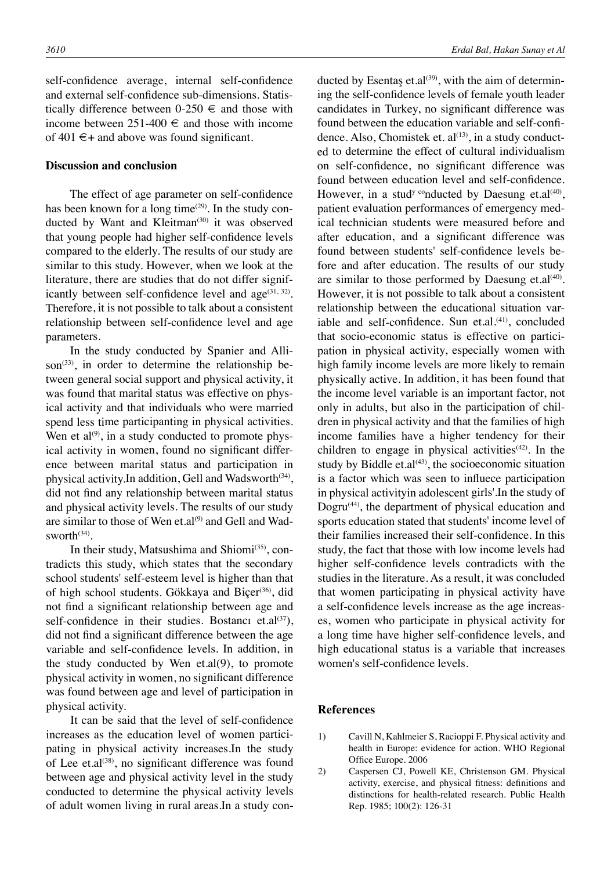self-confidence average, internal self-confidence and external self-confidence sub-dimensions. Statistically difference between  $0-250 \in \mathbb{R}$  and those with income between  $251-400 \in$  and those with income of 401  $\epsilon$ + and above was found significant.

## **Discussion and conclusion**

The effect of age parameter on self-confidence has been known for a long time $(29)$ . In the study conducted by Want and Kleitman<sup>(30)</sup> it was observed that young people had higher self-confidence levels compared to the elderly. The results of our study are similar to this study. However, when we look at the literature, there are studies that do not differ significantly between self-confidence level and  $age^{(31, 32)}$ . Therefore, it is not possible to talk about a consistent relationship between self-confidence level and age parameters.

In the study conducted by Spanier and Allison<sup> $(33)$ </sup>, in order to determine the relationship between general social support and physical activity, it was found that marital status was effective on physical activity and that individuals who were married spend less time participanting in physical activities. Wen et al $^{(9)}$ , in a study conducted to promote physical activity in women, found no significant difference between marital status and participation in physical activity.In addition, Gell and Wadsworth $(34)$ , did not find any relationship between marital status and physical activity levels. The results of our study are similar to those of Wen et.al<sup>(9)</sup> and Gell and Wadsworth<sup>(34)</sup>.

In their study, Matsushima and Shiomi<sup>(35)</sup>, contradicts this study, which states that the secondary school students' self-esteem level is higher than that of high school students. Gökkaya and Biçer<sup>(36)</sup>, did not find a significant relationship between age and self-confidence in their studies. Bostancı et.al $(37)$ , did not find a significant difference between the age variable and self-confidence levels. In addition, in the study conducted by Wen et.al(9), to promote physical activity in women, no significant difference was found between age and level of participation in physical activity.

It can be said that the level of self-confidence increases as the education level of women participating in physical activity increases.In the study of Lee et.al<sup>(38)</sup>, no significant difference was found between age and physical activity level in the study conducted to determine the physical activity levels of adult women living in rural areas.In a study conducted by Esentaş et.al<sup>(39)</sup>, with the aim of determining the self-confidence levels of female youth leader candidates in Turkey, no significant difference was found between the education variable and self-confidence. Also, Chomistek et.  $al^{(13)}$ , in a study conducted to determine the effect of cultural individualism on self-confidence, no significant difference was found between education level and self-confidence. However, in a stud<sup>y co</sup>nducted by Daesung et.al<sup>(40)</sup>, patient evaluation performances of emergency medical technician students were measured before and after education, and a significant difference was found between students' self-confidence levels before and after education. The results of our study are similar to those performed by Daesung et. $al^{(40)}$ . However, it is not possible to talk about a consistent relationship between the educational situation variable and self-confidence. Sun et.al.<sup>(41)</sup>, concluded that socio-economic status is effective on participation in physical activity, especially women with high family income levels are more likely to remain physically active. In addition, it has been found that the income level variable is an important factor, not only in adults, but also in the participation of children in physical activity and that the families of high income families have a higher tendency for their children to engage in physical activities $(42)$ . In the study by Biddle et.al $(43)$ , the socioeconomic situation is a factor which was seen to influece participation in physical activityin adolescent girls'.In the study of Dogru(44), the department of physical education and sports education stated that students' income level of their families increased their self-confidence. In this study, the fact that those with low income levels had higher self-confidence levels contradicts with the studies in the literature. As a result, it was concluded that women participating in physical activity have a self-confidence levels increase as the age increases, women who participate in physical activity for a long time have higher self-confidence levels, and high educational status is a variable that increases women's self-confidence levels.

### **References**

- 1) Cavill N, Kahlmeier S, Racioppi F. Physical activity and health in Europe: evidence for action. WHO Regional Office Europe. 2006
- 2) Caspersen CJ, Powell KE, Christenson GM. Physical activity, exercise, and physical fitness: definitions and distinctions for health-related research. Public Health Rep. 1985; 100(2): 126-31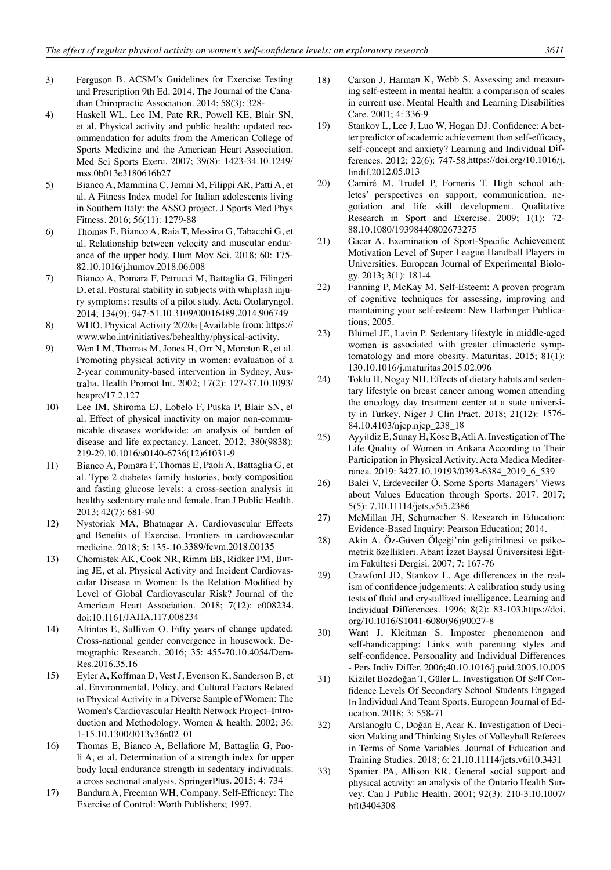- 3) Ferguson B. ACSM's Guidelines for Exercise Testing and Prescription 9th Ed. 2014. The Journal of the Canadian Chiropractic Association. 2014; 58(3): 328-
- 4) Haskell WL, Lee IM, Pate RR, Powell KE, Blair SN, et al. Physical activity and public health: updated recommendation for adults from the American College of Sports Medicine and the American Heart Association. Med Sci Sports Exerc. 2007; 39(8): 1423-34.10.1249/ mss.0b013e3180616b27
- 5) Bianco A, Mammina C, Jemni M, Filippi AR, Patti A, et al. A Fitness Index model for Italian adolescents living in Southern Italy: the ASSO project. J Sports Med Phys Fitness. 2016; 56(11): 1279-88
- 6) Thomas E, Bianco A, Raia T, Messina G, Tabacchi G, et al. Relationship between velocity and muscular endurance of the upper body. Hum Mov Sci. 2018; 60: 175- 82.10.1016/j.humov.2018.06.008
- 7) Bianco A, Pomara F, Petrucci M, Battaglia G, Filingeri D, et al. Postural stability in subjects with whiplash injury symptoms: results of a pilot study. Acta Otolaryngol. 2014; 134(9): 947-51.10.3109/00016489.2014.906749
- 8) WHO. Physical Activity 2020a [Available from: https:// www.who.int/initiatives/behealthy/physical-activity.
- 9) Wen LM, Thomas M, Jones H, Orr N, Moreton R, et al. Promoting physical activity in women: evaluation of a 2-year community-based intervention in Sydney, Australia. Health Promot Int. 2002; 17(2): 127-37.10.1093/ heapro/17.2.127
- 10) Lee IM, Shiroma EJ, Lobelo F, Puska P, Blair SN, et al. Effect of physical inactivity on major non-communicable diseases worldwide: an analysis of burden of disease and life expectancy. Lancet. 2012; 380(9838): 219-29.10.1016/s0140-6736(12)61031-9
- 11) Bianco A, Pomara F, Thomas E, Paoli A, Battaglia G, et al. Type 2 diabetes family histories, body composition and fasting glucose levels: a cross-section analysis in healthy sedentary male and female. Iran J Public Health. 2013; 42(7): 681-90
- 12) Nystoriak MA, Bhatnagar A. Cardiovascular Effects and Benefits of Exercise. Frontiers in cardiovascular medicine. 2018; 5: 135-.10.3389/fcvm.2018.00135
- 13) Chomistek AK, Cook NR, Rimm EB, Ridker PM, Buring JE, et al. Physical Activity and Incident Cardiovascular Disease in Women: Is the Relation Modified by Level of Global Cardiovascular Risk? Journal of the American Heart Association. 2018; 7(12): e008234. doi:10.1161/JAHA.117.008234
- 14) Altintas E, Sullivan O. Fifty years of change updated: Cross-national gender convergence in housework. Demographic Research. 2016; 35: 455-70.10.4054/Dem-Res.2016.35.16
- 15) Eyler A, Koffman D, Vest J, Evenson K, Sanderson B, et al. Environmental, Policy, and Cultural Factors Related to Physical Activity in a Diverse Sample of Women: The Women's Cardiovascular Health Network Project–Introduction and Methodology. Women & health. 2002; 36: 1-15.10.1300/J013v36n02\_01
- 16) Thomas E, Bianco A, Bellafiore M, Battaglia G, Paoli A, et al. Determination of a strength index for upper body local endurance strength in sedentary individuals: a cross sectional analysis. SpringerPlus. 2015; 4: 734
- 17) Bandura A, Freeman WH, Company. Self-Efficacy: The Exercise of Control: Worth Publishers; 1997.
- 18) Carson J, Harman K, Webb S. Assessing and measuring self-esteem in mental health: a comparison of scales in current use. Mental Health and Learning Disabilities Care. 2001; 4: 336-9
- 19) Stankov L, Lee J, Luo W, Hogan DJ. Confidence: A better predictor of academic achievement than self-efficacy, self-concept and anxiety? Learning and Individual Differences. 2012; 22(6): 747-58.https://doi.org/10.1016/j. lindif.2012.05.013
- 20) Camiré M, Trudel P, Forneris T. High school athletes' perspectives on support, communication, negotiation and life skill development. Qualitative Research in Sport and Exercise. 2009; 1(1): 72- 88.10.1080/19398440802673275
- 21) Gacar A. Examination of Sport-Specific Achievement Motivation Level of Super League Handball Players in Universities. European Journal of Experimental Biology. 2013; 3(1): 181-4
- 22) Fanning P, McKay M. Self-Esteem: A proven program of cognitive techniques for assessing, improving and maintaining your self-esteem: New Harbinger Publications; 2005.
- 23) Blümel JE, Lavin P. Sedentary lifestyle in middle-aged women is associated with greater climacteric symptomatology and more obesity. Maturitas. 2015; 81(1): 130.10.1016/j.maturitas.2015.02.096
- 24) Toklu H, Nogay NH. Effects of dietary habits and sedentary lifestyle on breast cancer among women attending the oncology day treatment center at a state university in Turkey. Niger J Clin Pract. 2018; 21(12): 1576- 84.10.4103/njcp.njcp\_238\_18
- 25) Ayyildiz E, Sunay H, Köse B, Atli A. Investigation of The Life Quality of Women in Ankara According to Their Participation in Physical Activity. Acta Medica Mediterranea. 2019: 3427.10.19193/0393-6384\_2019\_6\_539
- 26) Balci V, Erdeveciler Ö. Some Sports Managers' Views about Values Education through Sports. 2017. 2017; 5(5): 7.10.11114/jets.v5i5.2386
- 27) McMillan JH, Schumacher S. Research in Education: Evidence-Based Inquiry: Pearson Education; 2014.
- 28) Akin A. Öz-Güven Ölçeği'nin geliştirilmesi ve psikometrik özellikleri. Abant İzzet Baysal Üniversitesi Eğitim Fakültesi Dergisi. 2007; 7: 167-76
- 29) Crawford JD, Stankov L. Age differences in the realism of confidence judgements: A calibration study using tests of fluid and crystallized intelligence. Learning and Individual Differences. 1996; 8(2): 83-103.https://doi. org/10.1016/S1041-6080(96)90027-8
- 30) Want J, Kleitman S. Imposter phenomenon and self-handicapping: Links with parenting styles and self-confidence. Personality and Individual Differences - Pers Indiv Differ. 2006;40.10.1016/j.paid.2005.10.005
- 31) Kizilet Bozdoğan T, Güler L. Investigation Of Self Confidence Levels Of Secondary School Students Engaged In Individual And Team Sports. European Journal of Education. 2018; 3: 558-71
- 32) Arslanoglu C, Doğan E, Acar K. Investigation of Decision Making and Thinking Styles of Volleyball Referees in Terms of Some Variables. Journal of Education and Training Studies. 2018; 6: 21.10.11114/jets.v6i10.3431
- 33) Spanier PA, Allison KR. General social support and physical activity: an analysis of the Ontario Health Survey. Can J Public Health. 2001; 92(3): 210-3.10.1007/ bf03404308